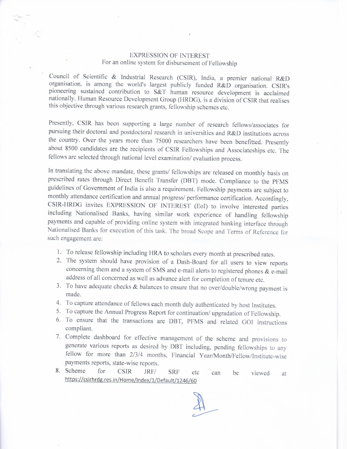## EXPRESSION OF INTEREST For an online system for disbursement of Fellowship

Council of Scientific & Industrial Research (CSIR), India, a premier national R&D organisation, is among the world's largest publicly funded R&D organisation. CSIR's pioneering sustained contribution to S&T human resource

Presently, CSIR has been supporting a large number of research fellows/associates for pursuing their doctoral and postdoctoral research in universities and R&D institutions across the country. Over the years more than 75000 researchers have been benefitted. Presently about 8500 candidates are the recipients of CSIR Fellowships and Associateships etc. The fellows are selected through national level examination/ evaluation process.

In translating the above mandate, these grants/ fellowships are released on monthly basis on prescribed rates through Direct Benefit Transfer (DBT) mode. Compliance to the PFMS guidelines of Government of India is also a requirement. Fellowship payments are subject to monthly attendance certification and annual progress/ performance certification. Accordingly, CSIR-HRDG invites EXPRESSION OF INTEREST (Eol) to involve interested parties including Nationalised Banks, having similar work experience of handling fellowship Nationalised Banks for execution of this task. The broad Scope and Terms of Reference for such engagement are:

- 1. To release fellowship including HRA to scholars every month at prescribed rates.
- 2. The system should have provision of a Dash-Board for all users to view reports concerning them and a system of SMS and e-mail alerts to registered phones & e-mail address of all concerned as well as advance alert for completion of tenure etc.
- 3. To have adequate checks & balances to ensure that no over/double/wrong payment is made.
- 4. To capture attendance of fellows each month duly authenticated by host Institutes.
- 5. To capture the Annual Progress Report for continuation/ upgradation of Fellowship.<br>6. To ensure that the transactions are DBT, PFMS and related GOI instructions
- 6. To ensure that the transactions are DBT, PFMS and related GOI instructions compliant.<br>7. Complete dashboard for effective management of the scheme and provisions to
- generate various reports as desired by DBT including, pending fellowships to any fellow for more than 2/3/4 months, Financial Year/Month/Fellow/Institute-wise payments reports, state-wise reports.
- 8. Scheme for CSIR JRF/ SRF etc can be viewed at https://csirhrdg.res.in/Home/Index/1/Default/1246/60

 $41$  $\overline{C}$